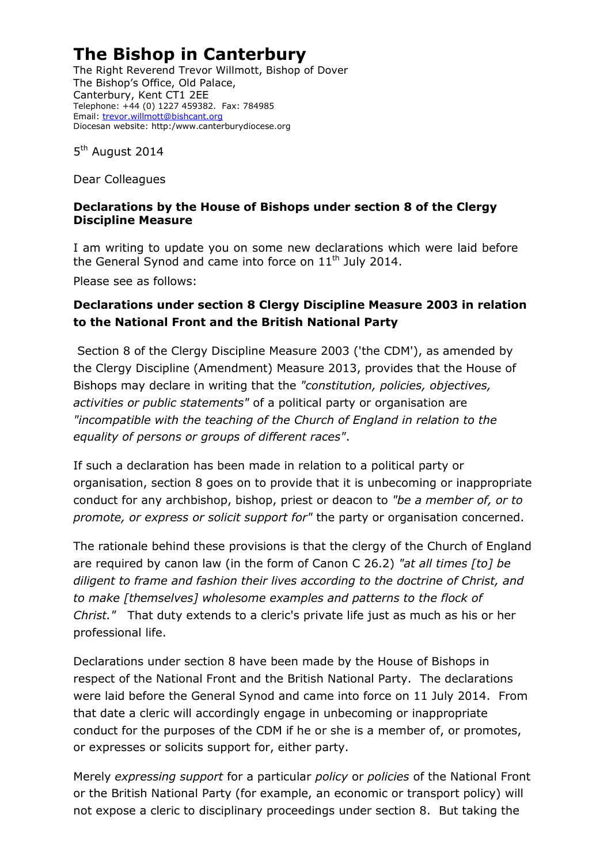## **The Bishop in Canterbury**

The Right Reverend Trevor Willmott, Bishop of Dover The Bishop's Office, Old Palace, Canterbury, Kent CT1 2EE Telephone: +44 (0) 1227 459382. Fax: 784985 Email: [trevor.willmott@bishcant.org](mailto:trevor.willmott@bishcant.org) Diocesan website: http:/www.canterburydiocese.org

5<sup>th</sup> August 2014

Dear Colleagues

## **Declarations by the House of Bishops under section 8 of the Clergy Discipline Measure**

I am writing to update you on some new declarations which were laid before the General Synod and came into force on  $11<sup>th</sup>$  July 2014.

Please see as follows:

## **Declarations under section 8 Clergy Discipline Measure 2003 in relation to the National Front and the British National Party**

Section 8 of the Clergy Discipline Measure 2003 ('the CDM'), as amended by the Clergy Discipline (Amendment) Measure 2013, provides that the House of Bishops may declare in writing that the *"constitution, policies, objectives, activities or public statements"* of a political party or organisation are *"incompatible with the teaching of the Church of England in relation to the equality of persons or groups of different races"*.

If such a declaration has been made in relation to a political party or organisation, section 8 goes on to provide that it is unbecoming or inappropriate conduct for any archbishop, bishop, priest or deacon to *"be a member of, or to promote, or express or solicit support for"* the party or organisation concerned.

The rationale behind these provisions is that the clergy of the Church of England are required by canon law (in the form of Canon C 26.2) *"at all times [to] be diligent to frame and fashion their lives according to the doctrine of Christ, and to make [themselves] wholesome examples and patterns to the flock of Christ."* That duty extends to a cleric's private life just as much as his or her professional life.

Declarations under section 8 have been made by the House of Bishops in respect of the National Front and the British National Party. The declarations were laid before the General Synod and came into force on 11 July 2014. From that date a cleric will accordingly engage in unbecoming or inappropriate conduct for the purposes of the CDM if he or she is a member of, or promotes, or expresses or solicits support for, either party.

Merely *expressing support* for a particular *policy* or *policies* of the National Front or the British National Party (for example, an economic or transport policy) will not expose a cleric to disciplinary proceedings under section 8. But taking the